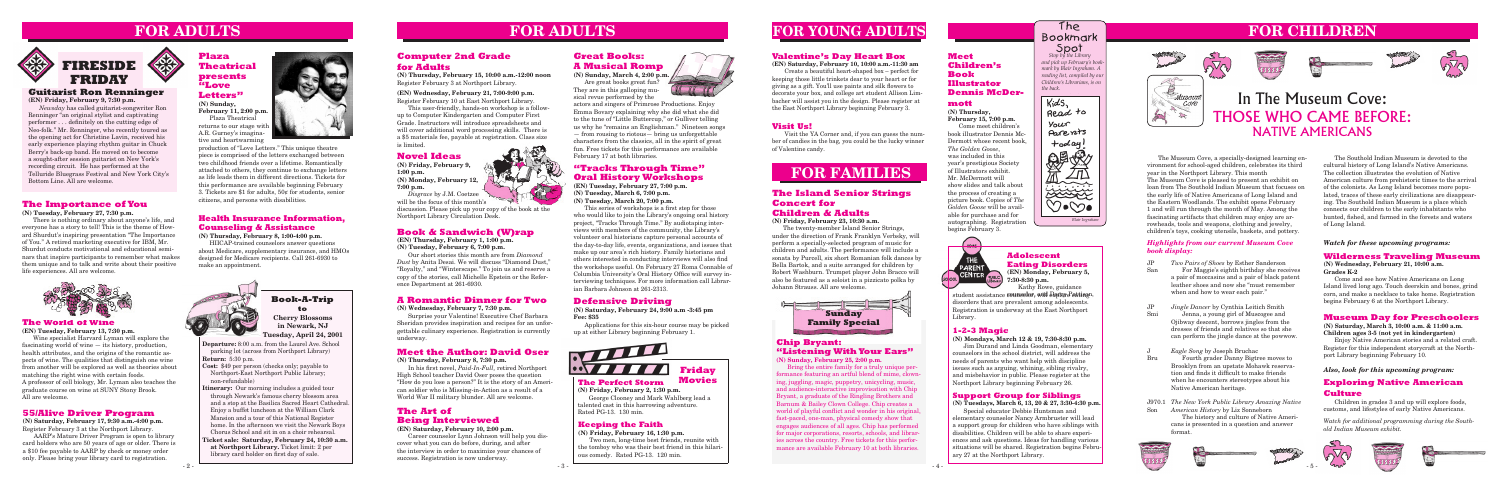**Departure:** 8:00 a.m. from the Laurel Ave. School parking lot (across from Northport Library) **Return:** 5:30 p.m.

- **Cost:** \$49 per person (checks only; payable to Northport-East Northport Public Library; non-refundable)
- **Itinerary:** Our morning includes a guided tour through Newark's famous cherry blossom area and a stop at the Basilica Sacred Heart Cathedral. Enjoy a buffet luncheon at the William Clark Mansion and a tour of this National Register home. In the afternoon we visit the Newark Boys Chorus School and sit in on a choir rehearsal.
- **Ticket sale: Saturday, February 24, 10:30 a.m. at Northport Library.** Ticket limit: 2 per library card holder on first day of sale.

# **Book-A-Trip**

**(N) Saturday, February 24, 9:00 a.m -3:45 pm Fee: \$35** 

Applications for this six-hour course may be picked up at either Library beginning February 1.

### **Book & Sandwich (W)rap**

**(EN) Thursday, February 1, 1:00 p.m. (N) Tuesday, February 6, 7:00 p.m.**

**Spot**<br>*Stop by the Library and pick up February's bookmark by Blair Ingraham. A reading list, compiled by our Children's Librarians, is on* 

Our short stories this month are from *Diamond Dust* by Anita Desai. We will discuss "Diamond Dust," "Royalty," and "Winterscape." To join us and reserve a copy of the stories, call Michelle Epstein or the Reference Department at 261-6930.

# **to A Romantic Dinner for Two Defensive Driving**<br> **A Romantic Dinner for Two Defensive Driving**<br>
(N) Saturday, February 24, 9:00

 $KidS$ Read to Your Parents  $+$ oday 经受  $\angle \overrightarrow{n}$  $44 - 7$ FRANCE  $\vee$ *Blair Ingraham*

# **FOR ADULTS**

# **FOR FAMILIES**

### **55/Alive Driver Program**

**(N) Saturday, February 17, 9:30 a.m.-4:00 p.m.** Register February 3 at the Northport Library.

AARP's Mature Driver Program is open to library card holders who are 50 years of age or older. There is a \$10 fee payable to AARP by check or money order only. Please bring your library card to registration.

# **FOR CHILDREN**















**Cherry Blossoms in Newark, NJ Tuesday, April 24, 2001** **(N) Wednesday, February 7, 7:30 p.m.**

Surprise your Valentine! Executive Chef Barbara Sheridan provides inspiration and recipes for an unforgettable culinary experience. Registration is currently underway.

## **Adolescent Eating Disorders**

**(EN) Monday, February 5, 7:30-8:30 p.m.** Kathy Rowe, guidance

# **FOR YOUNG ADULTS**

*the back.*



The Bookmark

### **Meet the Author: David Oser**

**(N) Thursday, February 8, 7:30 p.m.**

 In his first novel, *Paid-In-Full,* retired Northport High School teacher David Oser poses the question "How do you lose a person?" It is the story of an American soldier who is Missing-in-Action as a result of a World War II military blunder. All are welcome.

#### **Health Insurance Information, Counseling & Assistance**

**(N) Thursday, February 8, 1:00-4:00 p.m.**

HIICAP-trained counselors answer questions about Medicare, supplementary insurance, and HMOs designed for Medicare recipients. Call 261-6930 to make an appointment.



### **The Art of Being Interviewed**

#### **(EN) Saturday, February 10, 2:00 p.m.**

Career counselor Lynn Johnson will help you discover what you can do before, during, and after the interview in order to maximize your chances of success. Registration is now underway.



#### **Guitarist Ron Renninger**

**(EN) Friday, February 9, 7:30 p.m.**

*Newsday* has called guitarist-songwriter Ron Renninger "an original stylist and captivating performer . . . definitely on the cutting edge of Neo-folk." Mr. Renninger, who recently toured as the opening act for Christine Lavin, received his early experience playing rhythm guitar in Chuck Berry's back-up band. He moved on to become a sought-after session guitarist on New York's recording circuit. He has performed at the Telluride Bluegrass Festival and New York City's Bottom Line. All are welcome.

# **FOR ADULTS**

### **The Perfect Storm**

**(N) Friday, February 2, 1:30 p.m.** George Clooney and Mark Wahlberg lead a talented cast in this harrowing adventure. Rated PG-13. 130 min.



#### **Keeping the Faith**

**(N) Friday, February 16, 1:30 p.m.** Two men, long-time best friends, reunite with the tomboy who was their best friend in this hilarious comedy. Rated PG-13. 120 min.

## **Computer 2nd Grade for Adults**

**(N) Thursday, February 15, 10:00 a.m.-12:00 noon** Register February 3 at Northport Library.

#### **(EN) Wednesday, February 21, 7:00-9:00 p.m.** Register February 10 at East Northport Library.

This user-friendly, hands-on workshop is a followup to Computer Kindergarten and Computer First Grade. Instructors will introduce spreadsheets and will cover additional word processing skills. There is a \$5 materials fee, payable at registration. Class size is limited.

### **The Importance of You**

**(N) Tuesday, February 27, 7:30 p.m.**

student assistance **counselor, will Dapicy Peating**n, disorders that are prevalent among adolescents. Registration is underway at the East Northport Library.

There is nothing ordinary about anyone's life, and everyone has a story to tell! This is the theme of Howard Shurdut's inspiring presentation "The Importance of You." A retired marketing executive for IBM, Mr. Shurdut conducts motivational and educational seminars that inspire participants to remember what makes them unique and to talk and write about their positive life experiences. All are welcome.



#### **Plaza Theatrical presents "Love Letters" (N) Sunday,**

**February 11, 2:00 p.m.** Plaza Theatrical returns to our stage with A.R. Gurney's imagina-

tive and heartwarming



#### **The World of Wine**

**(EN) Tuesday, February 13, 7:30 p.m.**

Wine specialist Harvard Lyman will explore the fascinating world of wine — its history, production, health attributes, and the origins of the romantic aspects of wine. The qualities that distinguish one wine from another will be explored as well as theories about matching the right wine with certain foods. A professor of cell biology, Mr. Lyman also teaches the graduate course on wine at SUNY Stony Brook. All are welcome.

**(N) Sunday, March 4, 2:00 p.m.** Are great books great fun? They are in this galloping musical revue performed by the

actors and singers of Primrose Productions. Enjoy Emma Bovary explaining why she did what she did to the tune of "Little Buttercup," or Gulliver telling us why he "remains an Englishman." Nineteen songs — from rousing to riotous— bring us unforgettable characters from the classics, all in the spirit of great fun. Free tickets for this performance are available February 17 at both libraries.

#### **Valentine's Day Heart Box**

**(EN) Saturday, February 10, 10:00 a.m.-11:30 am**

 Create a beautiful heart-shaped box – perfect for keeping those little trinkets dear to your heart or for giving as a gift. You'll use paints and silk flowers to decorate your box, and college art student Allison Limbacher will assist you in the design. Please register at the East Northport Library beginning February 3.

#### **Support Group for Siblings**

**(N) Tuesdays, March 6, 13, 20 & 27, 3:30-4:30 p.m.**

Special educator Debbie Huntsman and elementary counselor Nancy Armbruster will lead a support group for children who have siblings with disabilities. Children will be able to share experiences and ask questions. Ideas for handling various situations will be shared. Registration begins February 27 at the Northport Library.

#### **1-2-3 Magic**

**(N) Mondays, March 12 & 19, 7:30-8:30 p.m.**

Jim Durand and Linda Goodman, elementary counselors in the school district, will address the needs of parents who want help with discipline issues such as arguing, whining, sibling rivalry, and misbehavior in public. Please register at the Northport Library beginning February 26.

production of "Love Letters." This unique theatre piece is comprised of the letters exchanged between two childhood friends over a lifetime. Romantically attached to others, they continue to exchange letters as life leads them in different directions. Tickets for this performance are available beginning February 3. Tickets are \$1 for adults, 50¢ for students, senior citizens, and persons with disabilities.

### **"Tracks Through Time" Oral History Workshops**

**(EN) Tuesday, February 27, 7:00 p.m. (N) Tuesday, March 6, 7:00 p.m. (N) Tuesday, March 20, 7:00 p.m.**

This series of workshops is a first step for those who would like to join the Library's ongoing oral history project, "Tracks Through Time." By audiotaping interviews with members of the community, the Library's volunteer oral historians capture personal accounts of the day-to-day life, events, organizations, and issues that make up our area's rich history. Family historians and others interested in conducting interviews will also find the workshops useful. On February 27 Roma Connable of Columbia University's Oral History Office will survey interviewing techniques. For more information call Librarian Barbara Johnson at 261-2313.

#### **Visit Us!**

 Visit the YA Corner and, if you can guess the number of candies in the bag, you could be the lucky winner of Valentine candy.

### **Novel Ideas**

**(N) Friday, February 9, 1:00 p.m. (N) Monday, February 12, 7:00 p.m.**

*Disgrace* by J.M. Coetzee will be the focus of this month's

discussion. Please pick up your copy of the book at the Northport Library Circulation Desk.

#### **Meet Children's Book Illustrator Dennis McDer-**

#### **mott**

**(N) Thursday, February 15, 7:00 p.m.** Come meet children's book illustrator Dennis Mc-Dermott whose recent book, *The Golden Goose*, was included in this year's prestigious Society of Illustrators exhibit.

Mr. McDermott will show slides and talk about the process of creating a picture book. Copies of *The Golden Goose* will be available for purchase and for autographing. Registration

begins February 3.

The Museum Cove, a specially-designed learning environment for school-aged children, celebrates its third year in the Northport Library. This month The Museum Cove is pleased to present an exhibit on loan from The Southold Indian Museum that focuses on the early life of Native Americans of Long Island and the Eastern Woodlands. The exhibit opens February 1 and will run through the month of May. Among the fascinating artifacts that children may enjoy are arrowheads, tools and weapons, clothing and jewelry, children's toys, cooking utensils, baskets, and pottery.



### **Chip Bryant: "Listening With Your Ears"**

**(N) Sunday, February 25, 2:00 p.m.**

Bring the entire family for a truly unique performance featuring an artful blend of mime, clowning, juggling, magic, puppetry, unicycling, music, and audience-interactive improvisation with Chip Bryant, a graduate of the Ringling Brothers and Barnum & Bailey Clown College. Chip creates a world of playful conflict and wonder in his original, fast-paced, one-man, physical comedy show that engages audiences of all ages. Chip has performed for major corporations, resorts, schools, and libraries across the country. Free tickets for this performance are available February 10 at both libraries.

#### **The Island Senior Strings Concert for Children & Adults**

**(N) Friday, February 23, 10:30 a.m.**

The twenty-member Island Senior Strings, under the direction of Frank Franklyn Verbsky, will perform a specially-selected program of music for children and adults. The performance will include a sonata by Purcell, six short Romanian folk dances by Bella Bartok, and a suite arranged for children by Robert Washburn. Trumpet player John Bracco will also be featured as a soloist in a pizzicato polka by Johann Strauss. All are welcome.

#### **Great Books: A Musical Romp**

# In The Museum Cove: THOSE WHO CAME BEFORE: NATIVE AMERICANS

The Southold Indian Museum is devoted to the cultural history of Long Island's Native Americans. The collection illustrates the evolution of Native American culture from prehistoric times to the arrival of the colonists. As Long Island becomes more populated, traces of these early civilizations are disappearing. The Southold Indian Museum is a place which connects our children to the early inhabitants who hunted, fished, and farmed in the forests and waters of Long Island.

#### *Watch for these upcoming programs:*

#### **Wilderness Traveling Museum**

**(N) Wednesday, February 21, 10:00 a.m. Grades K-2**

Come and see how Native Americans on Long Island lived long ago. Touch deerskin and bones, grind corn, and make a necklace to take home. Registration begins February 6 at the Northport Library.

### **Museum Day for Preschoolers**

**(N) Saturday, March 3, 10:00 a.m. & 11:00 a.m. Children ages 3-5 (not yet in kindergarten)**

Enjoy Native American stories and a related craft. Register for this independent storycraft at the Northport Library beginning February 10.

#### *Also, look for this upcoming program:*

### **Exploring Native American Culture**

Children in grades 3 and up will explore foods, customs, and lifestyles of early Native Americans.

*Watch for additional programming during the Southold Indian Museum exhibit.*







#### *Highlights from our current Museum Cove book display:*

- *Two Pairs of Shoes* by Esther Sanderson For Maggie's eighth birthday she receives a pair of moccasins and a pair of black patent leather shoes and now she "must remember when and how to wear each pair." JP San
- *Jingle Dancer* by Cynthia Leitich Smith Jenna, a young girl of Muscogee and Ojibway descent, borrows jingles from the dresses of friends and relatives so that she can perform the jingle dance at the powwow. JP Smi
- *Eagle Song* by Joseph Bruchac Fourth grader Danny Bigtree moves to Brooklyn from an upstate Mohawk reservation and finds it difficult to make friends when he encounters stereotypes about his Native American heritage. J Bru
- *The New York Public Library Amazing Native*  J970.1 *American History* by Liz Sonneborn The history and culture of Native Americans is presented in a question and answer format. Son